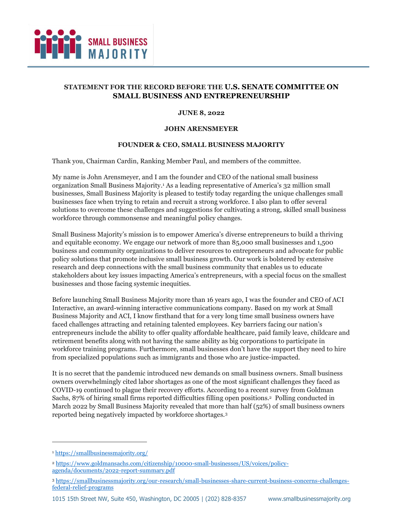

# **STATEMENT FOR THE RECORD BEFORE THE U.S. SENATE COMMITTEE ON SMALL BUSINESS AND ENTREPRENEURSHIP**

#### **JUNE 8, 2022**

#### **JOHN ARENSMEYER**

# **FOUNDER & CEO, SMALL BUSINESS MAJORITY**

Thank you, Chairman Cardin, Ranking Member Paul, and members of the committee.

My name is John Arensmeyer, and I am the founder and CEO of the national small business organization Small Business Majority. <sup>1</sup> As a leading representative of America's 32 million small businesses, Small Business Majority is pleased to testify today regarding the unique challenges small businesses face when trying to retain and recruit a strong workforce. I also plan to offer several solutions to overcome these challenges and suggestions for cultivating a strong, skilled small business workforce through commonsense and meaningful policy changes.

Small Business Majority's mission is to empower America's diverse entrepreneurs to build a thriving and equitable economy. We engage our network of more than 85,000 small businesses and 1,500 business and community organizations to deliver resources to entrepreneurs and advocate for public policy solutions that promote inclusive small business growth. Our work is bolstered by extensive research and deep connections with the small business community that enables us to educate stakeholders about key issues impacting America's entrepreneurs, with a special focus on the smallest businesses and those facing systemic inequities.

Before launching Small Business Majority more than 16 years ago, I was the founder and CEO of ACI Interactive, an award-winning interactive communications company. Based on my work at Small Business Majority and ACI, I know firsthand that for a very long time small business owners have faced challenges attracting and retaining talented employees. Key barriers facing our nation's entrepreneurs include the ability to offer quality affordable healthcare, paid family leave, childcare and retirement benefits along with not having the same ability as big corporations to participate in workforce training programs. Furthermore, small businesses don't have the support they need to hire from specialized populations such as immigrants and those who are justice-impacted.

It is no secret that the pandemic introduced new demands on small business owners. Small business owners overwhelmingly cited labor shortages as one of the most significant challenges they faced as COVID-19 continued to plague their recovery efforts. According to a recent survey from Goldman Sachs, 87% of hiring small firms reported difficulties filling open positions.<sup>2</sup> Polling conducted in March 2022 by Small Business Majority revealed that more than half (52%) of small business owners reported being negatively impacted by workforce shortages.<sup>3</sup>

<sup>1</sup> <https://smallbusinessmajority.org/>

<sup>2</sup> [https://www.goldmansachs.com/citizenship/10000-small-businesses/US/voices/policy](https://www.goldmansachs.com/citizenship/10000-small-businesses/US/voices/policy-agenda/documents/2022-report-summary.pdf)[agenda/documents/2022-report-summary.pdf](https://www.goldmansachs.com/citizenship/10000-small-businesses/US/voices/policy-agenda/documents/2022-report-summary.pdf)

<sup>3</sup> [https://smallbusinessmajority.org/our-research/small-businesses-share-current-business-concerns-challenges](https://smallbusinessmajority.org/our-research/small-businesses-share-current-business-concerns-challenges-federal-relief-programs)[federal-relief-programs](https://smallbusinessmajority.org/our-research/small-businesses-share-current-business-concerns-challenges-federal-relief-programs)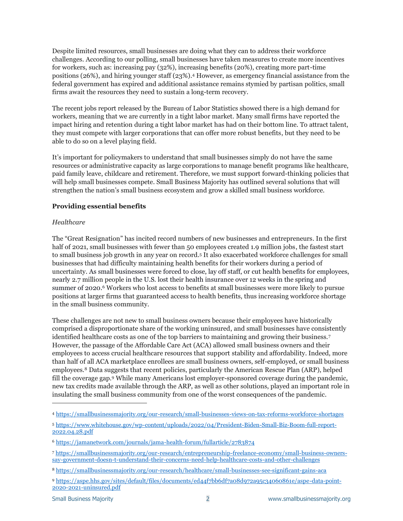Despite limited resources, small businesses are doing what they can to address their workforce challenges. According to our polling, small businesses have taken measures to create more incentives for workers, such as: increasing pay (32%), increasing benefits (20%), creating more part-time positions (26%), and hiring younger staff (23%). <sup>4</sup> However, as emergency financial assistance from the federal government has expired and additional assistance remains stymied by partisan politics, small firms await the resources they need to sustain a long-term recovery.

The recent jobs report released by the Bureau of Labor Statistics showed there is a high demand for workers, meaning that we are currently in a tight labor market. Many small firms have reported the impact hiring and retention during a tight labor market has had on their bottom line. To attract talent, they must compete with larger corporations that can offer more robust benefits, but they need to be able to do so on a level playing field.

It's important for policymakers to understand that small businesses simply do not have the same resources or administrative capacity as large corporations to manage benefit programs like healthcare, paid family leave, childcare and retirement. Therefore, we must support forward-thinking policies that will help small businesses compete. Small Business Majority has outlined several solutions that will strengthen the nation's small business ecosystem and grow a skilled small business workforce.

# **Providing essential benefits**

# *Healthcare*

The "Great Resignation" has incited record numbers of new businesses and entrepreneurs. In the first half of 2021, small businesses with fewer than 50 employees created 1.9 million jobs, the fastest start to small business job growth in any year on record.<sup>5</sup> It also exacerbated workforce challenges for small businesses that had difficulty maintaining health benefits for their workers during a period of uncertainty. As small businesses were forced to close, lay off staff, or cut health benefits for employees, nearly 2.7 million people in the U.S. lost their health insurance over 12 weeks in the spring and summer of 2020.<sup>6</sup> Workers who lost access to benefits at small businesses were more likely to pursue positions at larger firms that guaranteed access to health benefits, thus increasing workforce shortage in the small business community.

These challenges are not new to small business owners because their employees have historically comprised a disproportionate share of the working uninsured, and small businesses have consistently identified healthcare costs as one of the top barriers to maintaining and growing their business.<sup>7</sup> However, the passage of the Affordable Care Act (ACA) allowed small business owners and their employees to access crucial healthcare resources that support stability and affordability. Indeed, more than half of all ACA marketplace enrollees are small business owners, self-employed, or small business employees.<sup>8</sup> Data suggests that recent policies, particularly the American Rescue Plan (ARP), helped fill the coverage gap.<sup>9</sup> While many Americans lost employer-sponsored coverage during the pandemic, new tax credits made available through the ARP, as well as other solutions, played an important role in insulating the small business community from one of the worst consequences of the pandemic.

<sup>4</sup> <https://smallbusinessmajority.org/our-research/small-businesses-views-on-tax-reforms-workforce-shortages>

<sup>5</sup> [https://www.whitehouse.gov/wp-content/uploads/2022/04/President-Biden-Small-Biz-Boom-full-report-](https://www.whitehouse.gov/wp-content/uploads/2022/04/President-Biden-Small-Biz-Boom-full-report-2022.04.28.pdf)[2022.04.28.pdf](https://www.whitehouse.gov/wp-content/uploads/2022/04/President-Biden-Small-Biz-Boom-full-report-2022.04.28.pdf)

<sup>6</sup> <https://jamanetwork.com/journals/jama-health-forum/fullarticle/2783874>

<sup>7</sup> [https://smallbusinessmajority.org/our-research/entrepreneurship-freelance-economy/small-business-owners](https://smallbusinessmajority.org/our-research/entrepreneurship-freelance-economy/small-business-owners-say-government-doesn-t-understand-their-concerns-need-help-healthcare-costs-and-other-challenges)[say-government-doesn-t-understand-their-concerns-need-help-healthcare-costs-and-other-challenges](https://smallbusinessmajority.org/our-research/entrepreneurship-freelance-economy/small-business-owners-say-government-doesn-t-understand-their-concerns-need-help-healthcare-costs-and-other-challenges)

<sup>8</sup> <https://smallbusinessmajority.org/our-research/healthcare/small-businesses-see-significant-gains-aca>

<sup>9</sup> [https://aspe.hhs.gov/sites/default/files/documents/ed44f7bb6df7a08d972a95c34060861e/aspe-data-point-](https://aspe.hhs.gov/sites/default/files/documents/ed44f7bb6df7a08d972a95c34060861e/aspe-data-point-2020-2021-uninsured.pdf)[2020-2021-uninsured.pdf](https://aspe.hhs.gov/sites/default/files/documents/ed44f7bb6df7a08d972a95c34060861e/aspe-data-point-2020-2021-uninsured.pdf)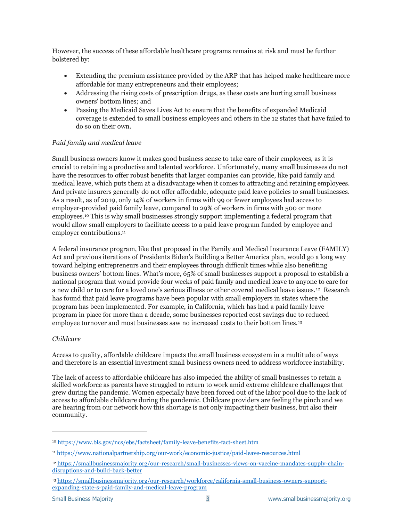However, the success of these affordable healthcare programs remains at risk and must be further bolstered by:

- Extending the premium assistance provided by the ARP that has helped make healthcare more affordable for many entrepreneurs and their employees;
- Addressing the rising costs of prescription drugs, as these costs are hurting small business owners' bottom lines; and
- Passing the Medicaid Saves Lives Act to ensure that the benefits of expanded Medicaid coverage is extended to small business employees and others in the 12 states that have failed to do so on their own.

# *Paid family and medical leave*

Small business owners know it makes good business sense to take care of their employees, as it is crucial to retaining a productive and talented workforce. Unfortunately, many small businesses do not have the resources to offer robust benefits that larger companies can provide, like paid family and medical leave, which puts them at a disadvantage when it comes to attracting and retaining employees. And private insurers generally do not offer affordable, adequate paid leave policies to small businesses. As a result, as of 2019, only 14% of workers in firms with 99 or fewer employees had access to employer-provided paid family leave, compared to 29% of workers in firms with 500 or more employees.<sup>10</sup> This is why small businesses strongly support implementing a federal program that would allow small employers to facilitate access to a paid leave program funded by employee and employer contributions.<sup>11</sup>

A federal insurance program, like that proposed in the Family and Medical Insurance Leave (FAMILY) Act and previous iterations of Presidents Biden's Building a Better America plan, would go a long way toward helping entrepreneurs and their employees through difficult times while also benefiting business owners' bottom lines. What's more, 65% of small businesses support a proposal to establish a national program that would provide four weeks of paid family and medical leave to anyone to care for a new child or to care for a loved one's serious illness or other covered medical leave issues. <sup>12</sup> Research has found that paid leave programs have been popular with small employers in states where the program has been implemented. For example, in California, which has had a paid family leave program in place for more than a decade, some businesses reported cost savings due to reduced employee turnover and most businesses saw no increased costs to their bottom lines.<sup>13</sup>

# *Childcare*

Access to quality, affordable childcare impacts the small business ecosystem in a multitude of ways and therefore is an essential investment small business owners need to address workforce instability.

The lack of access to affordable childcare has also impeded the ability of small businesses to retain a skilled workforce as parents have struggled to return to work amid extreme childcare challenges that grew during the pandemic. Women especially have been forced out of the labor pool due to the lack of access to affordable childcare during the pandemic. Childcare providers are feeling the pinch and we are hearing from our network how this shortage is not only impacting their business, but also their community.

<sup>10</sup> <https://www.bls.gov/ncs/ebs/factsheet/family-leave-benefits-fact-sheet.htm>

<sup>11</sup> <https://www.nationalpartnership.org/our-work/economic-justice/paid-leave-resources.html>

<sup>12</sup> [https://smallbusinessmajority.org/our-research/small-businesses-views-on-vaccine-mandates-supply-chain](https://smallbusinessmajority.org/our-research/small-businesses-views-on-vaccine-mandates-supply-chain-disruptions-and-build-back-better)[disruptions-and-build-back-better](https://smallbusinessmajority.org/our-research/small-businesses-views-on-vaccine-mandates-supply-chain-disruptions-and-build-back-better)

<sup>13</sup> [https://smallbusinessmajority.org/our-research/workforce/california-small-business-owners-support](https://smallbusinessmajority.org/our-research/workforce/california-small-business-owners-support-expanding-state-s-paid-family-and-medical-leave-program)[expanding-state-s-paid-family-and-medical-leave-program](https://smallbusinessmajority.org/our-research/workforce/california-small-business-owners-support-expanding-state-s-paid-family-and-medical-leave-program)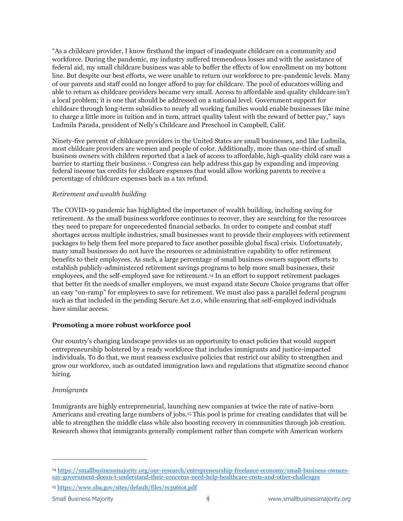"As a childcare provider, I know firsthand the impact of inadequate childcare on a community and workforce. During the pandemic, my industry suffered tremendous losses and with the assistance of federal aid, my small childcare business was able to buffer the effects of low enrollment on my bottom line. But despite our best efforts, we were unable to return our workforce to pre-pandemic levels. Many of our parents and staff could no longer afford to pay for childcare. The pool of educators willing and able to return as childcare providers became very small. Access to affordable and quality childcare isn't a local problem; it is one that should be addressed on a national level. Government support for childcare through long-term subsidies to nearly all working families would enable businesses like mine to charge a little more in tuition and in turn, attract quality talent with the reward of better pay," says Ludmila Parada, president of Nelly's Childcare and Preschool in Campbell, Calif.

Ninety-five percent of childcare providers in the United States are small businesses, and like Ludmila, most childcare providers are women and people of color. Additionally, more than one-third of small business owners with children reported that a lack of access to affordable, high-quality child care was a barrier to starting their business.<sup>13</sup> Congress can help address this gap by expanding and improving federal income tax credits for childcare expenses that would allow working parents to receive a percentage of childcare expenses back as a tax refund.

# *Retirement and wealth building*

The COVID-19 pandemic has highlighted the importance of wealth building, including saving for retirement. As the small business workforce continues to recover, they are searching for the resources they need to prepare for unprecedented financial setbacks. In order to compete and combat staff shortages across multiple industries, small businesses want to provide their employees with retirement packages to help them feel more prepared to face another possible global fiscal crisis. Unfortunately, many small businesses do not have the resources or administrative capability to offer retirement benefits to their employees. As such, a large percentage of small business owners support efforts to establish publicly-administered retirement savings programs to help more small businesses, their employees, and the self-employed save for retirement. <sup>14</sup> In an effort to support retirement packages that better fit the needs of smaller employers, we must expand state Secure Choice programs that offer an easy "on-ramp" for employees to save for retirement. We must also pass a parallel federal program such as that included in the pending Secure Act 2.0, while ensuring that self-employed individuals have similar access.

# **Promoting a more robust workforce pool**

Our country's changing landscape provides us an opportunity to enact policies that would support entrepreneurship bolstered by a ready workforce that includes immigrants and justice-impacted individuals. To do that, we must reassess exclusive policies that restrict our ability to strengthen and grow our workforce, such as outdated immigration laws and regulations that stigmatize second chance hiring.

# *Immigrants*

Immigrants are highly entrepreneurial, launching new companies at twice the rate of native-born Americans and creating large numbers of jobs.<sup>15</sup> This pool is prime for creating candidates that will be able to strengthen the middle class while also boosting recovery in communities through job creation. Research shows that immigrants generally complement rather than compete with American workers

<sup>15</sup> <https://www.sba.gov/sites/default/files/rs396tot.pdf>

<sup>14</sup> [https://smallbusinessmajority.org/our-research/entrepreneurship-freelance-economy/small-business-owners](https://smallbusinessmajority.org/our-research/entrepreneurship-freelance-economy/small-business-owners-say-government-doesn-t-understand-their-concerns-need-help-healthcare-costs-and-other-challenges)[say-government-doesn-t-understand-their-concerns-need-help-healthcare-costs-and-other-challenges](https://smallbusinessmajority.org/our-research/entrepreneurship-freelance-economy/small-business-owners-say-government-doesn-t-understand-their-concerns-need-help-healthcare-costs-and-other-challenges)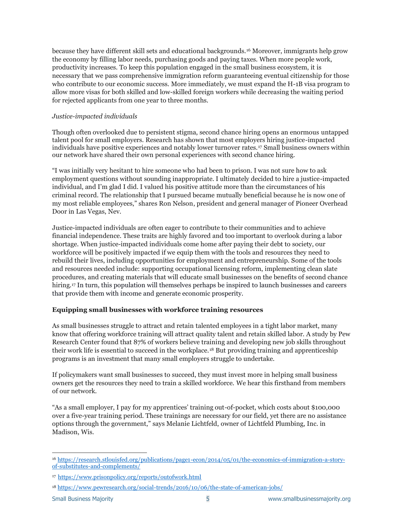because they have different skill sets and educational backgrounds.<sup>16</sup> Moreover, immigrants help grow the economy by filling labor needs, purchasing goods and paying taxes. When more people work, productivity increases. To keep this population engaged in the small business ecosystem, it is necessary that we pass comprehensive immigration reform guaranteeing eventual citizenship for those who contribute to our economic success. More immediately, we must expand the H-1B visa program to allow more visas for both skilled and low-skilled foreign workers while decreasing the waiting period for rejected applicants from one year to three months.

#### *Justice-impacted individuals*

Though often overlooked due to persistent stigma, second chance hiring opens an enormous untapped talent pool for small employers. Research has shown that most employers hiring justice-impacted individuals have positive experiences and notably lower turnover rates.<sup>17</sup> Small business owners within our network have shared their own personal experiences with second chance hiring.

"I was initially very hesitant to hire someone who had been to prison. I was not sure how to ask employment questions without sounding inappropriate. I ultimately decided to hire a justice-impacted individual, and I'm glad I did. I valued his positive attitude more than the circumstances of his criminal record. The relationship that I pursued became mutually beneficial because he is now one of my most reliable employees," shares Ron Nelson, president and general manager of Pioneer Overhead Door in Las Vegas, Nev.

Justice-impacted individuals are often eager to contribute to their communities and to achieve financial independence. These traits are highly favored and too important to overlook during a labor shortage. When justice-impacted individuals come home after paying their debt to society, our workforce will be positively impacted if we equip them with the tools and resources they need to rebuild their lives, including opportunities for employment and entrepreneurship. Some of the tools and resources needed include: supporting occupational licensing reform, implementing clean slate procedures, and creating materials that will educate small businesses on the benefits of second chance hiring.<sup>17</sup> In turn, this population will themselves perhaps be inspired to launch businesses and careers that provide them with income and generate economic prosperity.

# **Equipping small businesses with workforce training resources**

As small businesses struggle to attract and retain talented employees in a tight labor market, many know that offering workforce training will attract quality talent and retain skilled labor. A study by Pew Research Center found that 87% of workers believe training and developing new job skills throughout their work life is essential to succeed in the workplace.<sup>18</sup> But providing training and apprenticeship programs is an investment that many small employers struggle to undertake.

If policymakers want small businesses to succeed, they must invest more in helping small business owners get the resources they need to train a skilled workforce. We hear this firsthand from members of our network.

"As a small employer, I pay for my apprentices' training out-of-pocket, which costs about \$100,000 over a five-year training period. These trainings are necessary for our field, yet there are no assistance options through the government," says Melanie Lichtfeld, owner of Lichtfeld Plumbing, Inc. in Madison, Wis.

<sup>16</sup> [https://research.stlouisfed.org/publications/page1-econ/2014/05/01/the-economics-of-immigration-a-story](https://research.stlouisfed.org/publications/page1-econ/2014/05/01/the-economics-of-immigration-a-story-of-substitutes-and-complements/)[of-substitutes-and-complements/](https://research.stlouisfed.org/publications/page1-econ/2014/05/01/the-economics-of-immigration-a-story-of-substitutes-and-complements/)

<sup>17</sup> <https://www.prisonpolicy.org/reports/outofwork.html>

<sup>18</sup> <https://www.pewresearch.org/social-trends/2016/10/06/the-state-of-american-jobs/>